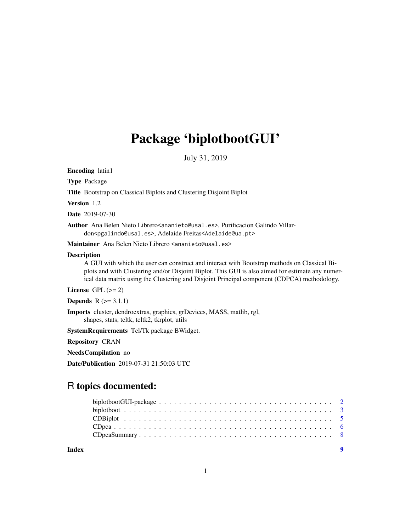## Package 'biplotbootGUI'

July 31, 2019

Encoding latin1 Type Package Title Bootstrap on Classical Biplots and Clustering Disjoint Biplot Version 1.2 Date 2019-07-30 Author Ana Belen Nieto Librero<ananieto@usal.es>, Purificacion Galindo Villardon<pgalindo@usal.es>, Adelaide Freitas<Adelaide@ua.pt> Maintainer Ana Belen Nieto Librero <ananieto@usal.es> Description A GUI with which the user can construct and interact with Bootstrap methods on Classical Biplots and with Clustering and/or Disjoint Biplot. This GUI is also aimed for estimate any numerical data matrix using the Clustering and Disjoint Principal component (CDPCA) methodology. License GPL  $(>= 2)$ **Depends**  $R$  ( $> = 3.1.1$ ) Imports cluster, dendroextras, graphics, grDevices, MASS, matlib, rgl, shapes, stats, tcltk, tcltk2, tkrplot, utils SystemRequirements Tcl/Tk package BWidget. Repository CRAN NeedsCompilation no Date/Publication 2019-07-31 21:50:03 UTC R topics documented:

**Index** [9](#page-8-0)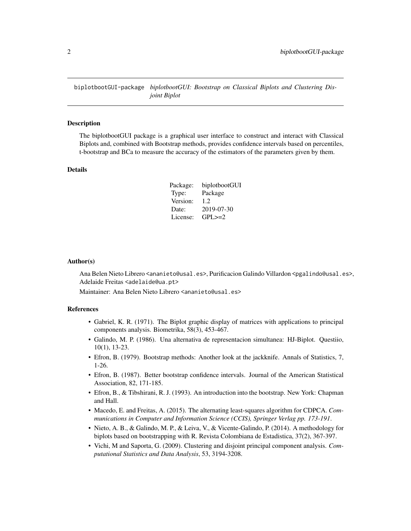<span id="page-1-0"></span>biplotbootGUI-package *biplotbootGUI: Bootstrap on Classical Biplots and Clustering Disjoint Biplot*

#### Description

The biplotbootGUI package is a graphical user interface to construct and interact with Classical Biplots and, combined with Bootstrap methods, provides confidence intervals based on percentiles, t-bootstrap and BCa to measure the accuracy of the estimators of the parameters given by them.

#### Details

| Package: | biplotbootGUI |
|----------|---------------|
| Type:    | Package       |
| Version: | 1.2.          |
| Date:    | 2019-07-30    |
| License: | $GPI \geq 2$  |

#### Author(s)

Ana Belen Nieto Librero <ananieto@usal.es>, Purificacion Galindo Villardon <pgalindo@usal.es>, Adelaide Freitas <adelaide@ua.pt>

Maintainer: Ana Belen Nieto Librero <ananieto@usal.es>

#### References

- Gabriel, K. R. (1971). The Biplot graphic display of matrices with applications to principal components analysis. Biometrika, 58(3), 453-467.
- Galindo, M. P. (1986). Una alternativa de representacion simultanea: HJ-Biplot. Questiio, 10(1), 13-23.
- Efron, B. (1979). Bootstrap methods: Another look at the jackknife. Annals of Statistics, 7, 1-26.
- Efron, B. (1987). Better bootstrap confidence intervals. Journal of the American Statistical Association, 82, 171-185.
- Efron, B., & Tibshirani, R. J. (1993). An introduction into the bootstrap. New York: Chapman and Hall.
- Macedo, E. and Freitas, A. (2015). The alternating least-squares algorithm for CDPCA. *Communications in Computer and Information Science (CCIS), Springer Verlag pp. 173-191*.
- Nieto, A. B., & Galindo, M. P., & Leiva, V., & Vicente-Galindo, P. (2014). A methodology for biplots based on bootstrapping with R. Revista Colombiana de Estadistica, 37(2), 367-397.
- Vichi, M and Saporta, G. (2009). Clustering and disjoint principal component analysis. *Computational Statistics and Data Analysis*, 53, 3194-3208.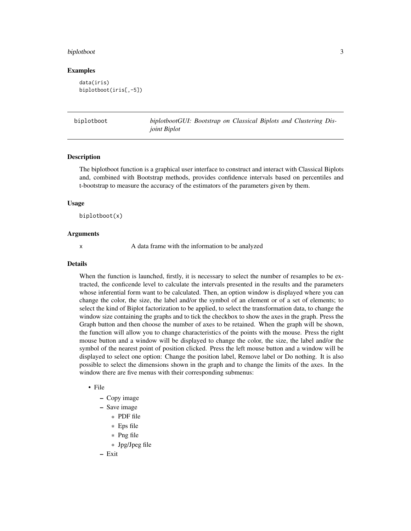#### <span id="page-2-0"></span>biplotboot 3

#### Examples

```
data(iris)
biplotboot(iris[,-5])
```

| biplotboot | biplotbootGUI: Bootstrap on Classical Biplots and Clustering Dis- |  |  |  |  |
|------------|-------------------------------------------------------------------|--|--|--|--|
|            | <i>joint Biplot</i>                                               |  |  |  |  |

#### Description

The biplotboot function is a graphical user interface to construct and interact with Classical Biplots and, combined with Bootstrap methods, provides confidence intervals based on percentiles and t-bootstrap to measure the accuracy of the estimators of the parameters given by them.

#### Usage

biplotboot(x)

#### Arguments

x A data frame with the information to be analyzed

#### Details

When the function is launched, firstly, it is necessary to select the number of resamples to be extracted, the conficende level to calculate the intervals presented in the results and the parameters whose inferential form want to be calculated. Then, an option window is displayed where you can change the color, the size, the label and/or the symbol of an element or of a set of elements; to select the kind of Biplot factorization to be applied, to select the transformation data, to change the window size containing the graphs and to tick the checkbox to show the axes in the graph. Press the Graph button and then choose the number of axes to be retained. When the graph will be shown, the function will allow you to change characteristics of the points with the mouse. Press the right mouse button and a window will be displayed to change the color, the size, the label and/or the symbol of the nearest point of position clicked. Press the left mouse button and a window will be displayed to select one option: Change the position label, Remove label or Do nothing. It is also possible to select the dimensions shown in the graph and to change the limits of the axes. In the window there are five menus with their corresponding submenus:

#### • File

- Copy image
- Save image
	- \* PDF file
	- \* Eps file
	- \* Png file
	- \* Jpg/Jpeg file

– Exit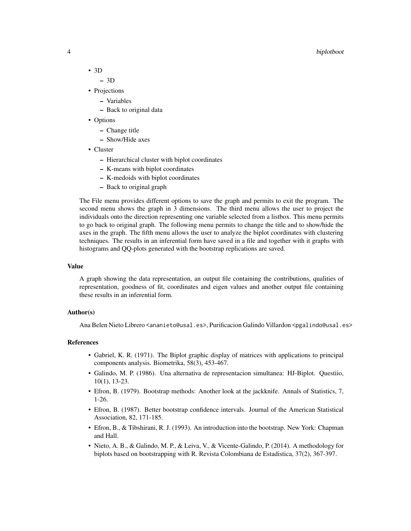#### 4 biplotboot

- 3D
	- 3D
- Projections
	- Variables
	- Back to original data
- Options
	- Change title
	- Show/Hide axes
- Cluster
	- Hierarchical cluster with biplot coordinates
	- K-means with biplot coordinates
	- K-medoids with biplot coordinates
	- Back to original graph

The File menu provides different options to save the graph and permits to exit the program. The second menu shows the graph in 3 dimensions. The third menu allows the user to project the individuals onto the direction representing one variable selected from a listbox. This menu permits to go back to original graph. The following menu permits to change the title and to show/hide the axes in the graph. The fifth menu allows the user to analyze the biplot coordinates with clustering techniques. The results in an inferential form have saved in a file and together with it graphs with histograms and QQ-plots generated with the bootstrap replications are saved.

#### Value

A graph showing the data representation, an output file containing the contributions, qualities of representation, goodness of fit, coordinates and eigen values and another output file containing these results in an inferential form.

#### Author(s)

Ana Belen Nieto Librero <ananieto@usal.es>, Purificacion Galindo Villardon <pgalindo@usal.es>

#### References

- Gabriel, K. R. (1971). The Biplot graphic display of matrices with applications to principal components analysis. Biometrika, 58(3), 453-467.
- Galindo, M. P. (1986). Una alternativa de representacion simultanea: HJ-Biplot. Questiio, 10(1), 13-23.
- Efron, B. (1979). Bootstrap methods: Another look at the jackknife. Annals of Statistics, 7, 1-26.
- Efron, B. (1987). Better bootstrap confidence intervals. Journal of the American Statistical Association, 82, 171-185.
- Efron, B., & Tibshirani, R. J. (1993). An introduction into the bootstrap. New York: Chapman and Hall.
- Nieto, A. B., & Galindo, M. P., & Leiva, V., & Vicente-Galindo, P. (2014). A methodology for biplots based on bootstrapping with R. Revista Colombiana de Estadistica, 37(2), 367-397.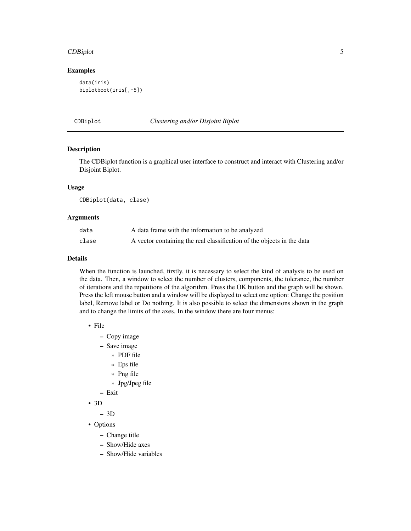#### <span id="page-4-0"></span>CDBiplot 5 and 5 and 5 and 5 and 5 and 5 and 5 and 5 and 5 and 5 and 5 and 5 and 5 and 5 and 5 and 5 and 5 and 5 and 5 and 5 and 5 and 5 and 5 and 5 and 5 and 5 and 5 and 5 and 5 and 5 and 5 and 5 and 5 and 5 and 5 and 5 a

#### Examples

```
data(iris)
biplotboot(iris[,-5])
```
CDBiplot *Clustering and/or Disjoint Biplot*

#### Description

The CDBiplot function is a graphical user interface to construct and interact with Clustering and/or Disjoint Biplot.

#### Usage

CDBiplot(data, clase)

#### Arguments

| data  | A data frame with the information to be analyzed                       |
|-------|------------------------------------------------------------------------|
| clase | A vector containing the real classification of the objects in the data |

#### Details

When the function is launched, firstly, it is necessary to select the kind of analysis to be used on the data. Then, a window to select the number of clusters, components, the tolerance, the number of iterations and the repetitions of the algorithm. Press the OK button and the graph will be shown. Press the left mouse button and a window will be displayed to select one option: Change the position label, Remove label or Do nothing. It is also possible to select the dimensions shown in the graph and to change the limits of the axes. In the window there are four menus:

- File
	- Copy image
	- Save image
		- \* PDF file
		- \* Eps file
		- \* Png file
		- \* Jpg/Jpeg file
	- Exit
- 3D

– 3D

- Options
	- Change title
	- Show/Hide axes
	- Show/Hide variables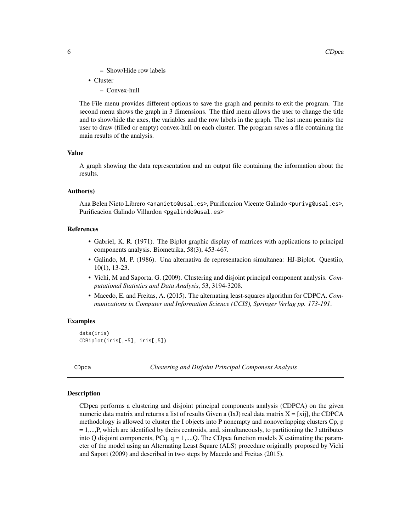- Show/Hide row labels
- <span id="page-5-0"></span>• Cluster
	- Convex-hull

The File menu provides different options to save the graph and permits to exit the program. The second menu shows the graph in 3 dimensions. The third menu allows the user to change the title and to show/hide the axes, the variables and the row labels in the graph. The last menu permits the user to draw (filled or empty) convex-hull on each cluster. The program saves a file containing the main results of the analysis.

#### Value

A graph showing the data representation and an output file containing the information about the results.

#### Author(s)

Ana Belen Nieto Librero <ananieto@usal.es>, Purificacion Vicente Galindo <purivg@usal.es>, Purificacion Galindo Villardon <pgalindo@usal.es>

#### References

- Gabriel, K. R. (1971). The Biplot graphic display of matrices with applications to principal components analysis. Biometrika, 58(3), 453-467.
- Galindo, M. P. (1986). Una alternativa de representacion simultanea: HJ-Biplot. Questiio, 10(1), 13-23.
- Vichi, M and Saporta, G. (2009). Clustering and disjoint principal component analysis. *Computational Statistics and Data Analysis*, 53, 3194-3208.
- Macedo, E. and Freitas, A. (2015). The alternating least-squares algorithm for CDPCA. *Communications in Computer and Information Science (CCIS), Springer Verlag pp. 173-191*.

#### Examples

```
data(iris)
CDBiplot(iris[,-5], iris[,5])
```
CDpca *Clustering and Disjoint Principal Component Analysis*

#### Description

CDpca performs a clustering and disjoint principal components analysis (CDPCA) on the given numeric data matrix and returns a list of results Given a  $(IxJ)$  real data matrix  $X = [xij]$ , the CDPCA methodology is allowed to cluster the I objects into P nonempty and nonoverlapping clusters Cp, p  $= 1, \ldots, P$ , which are identified by theirs centroids, and, simultaneously, to partitioning the J attributes into Q disjoint components, PCq,  $q = 1,...,Q$ . The CDpca function models X estimating the parameter of the model using an Alternating Least Square (ALS) procedure originally proposed by Vichi and Saport (2009) and described in two steps by Macedo and Freitas (2015).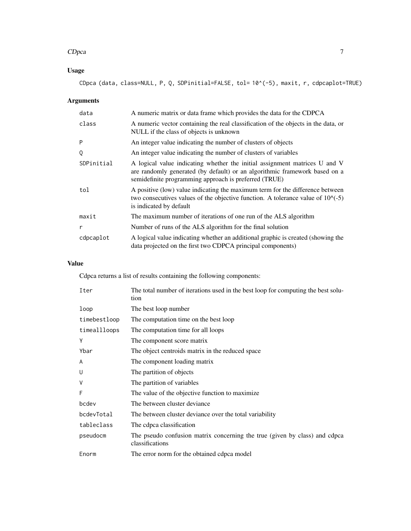#### CDpca 7

### Usage

CDpca (data, class=NULL, P, Q, SDPinitial=FALSE, tol= 10^(-5), maxit, r, cdpcaplot=TRUE)

#### Arguments

| data       | A numeric matrix or data frame which provides the data for the CDPCA                                                                                                                                              |
|------------|-------------------------------------------------------------------------------------------------------------------------------------------------------------------------------------------------------------------|
| class      | A numeric vector containing the real classification of the objects in the data, or<br>NULL if the class of objects is unknown                                                                                     |
| P          | An integer value indicating the number of clusters of objects                                                                                                                                                     |
| Q          | An integer value indicating the number of clusters of variables                                                                                                                                                   |
| SDPinitial | A logical value indicating whether the initial assignment matrices U and V<br>are randomly generated (by default) or an algorithmic framework based on a<br>semidefinite programming approach is preferred (TRUE) |
| tol        | A positive (low) value indicating the maximum term for the difference between<br>two consecutives values of the objective function. A tolerance value of $10^{\circ}(-5)$<br>is indicated by default              |
| maxit      | The maximum number of iterations of one run of the ALS algorithm                                                                                                                                                  |
| r          | Number of runs of the ALS algorithm for the final solution                                                                                                                                                        |
| cdpcaplot  | A logical value indicating whether an additional graphic is created (showing the<br>data projected on the first two CDPCA principal components)                                                                   |

#### Value

Cdpca returns a list of results containing the following components:

| Iter         | The total number of iterations used in the best loop for computing the best solu-<br>tion     |
|--------------|-----------------------------------------------------------------------------------------------|
| loop         | The best loop number                                                                          |
| timebestloop | The computation time on the best loop                                                         |
| timeallloops | The computation time for all loops                                                            |
| Y            | The component score matrix                                                                    |
| Ybar         | The object centroids matrix in the reduced space                                              |
| A            | The component loading matrix                                                                  |
| U            | The partition of objects                                                                      |
| V            | The partition of variables                                                                    |
| F            | The value of the objective function to maximize.                                              |
| bcdev        | The between cluster deviance                                                                  |
| bcdevTotal   | The between cluster deviance over the total variability                                       |
| tableclass   | The cdpca classification                                                                      |
| pseudocm     | The pseudo confusion matrix concerning the true (given by class) and cdpca<br>classifications |
| Enorm        | The error norm for the obtained cdpca model                                                   |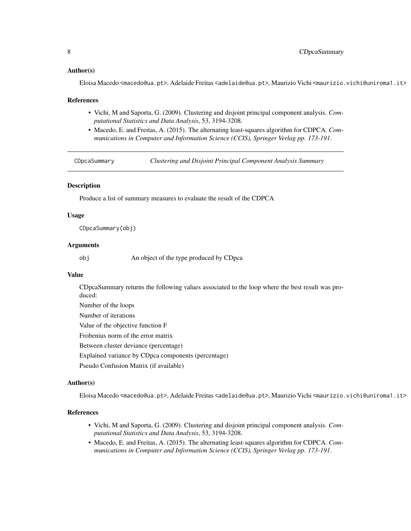#### <span id="page-7-0"></span>Author(s)

Eloisa Macedo <macedo@ua.pt>, Adelaide Freitas <adelaide@ua.pt>, Maurizio Vichi <maurizio.vichi@uniroma1.it>

#### References

- Vichi, M and Saporta, G. (2009). Clustering and disjoint principal component analysis. *Computational Statistics and Data Analysis*, 53, 3194-3208.
- Macedo, E. and Freitas, A. (2015). The alternating least-squares algorithm for CDPCA. *Communications in Computer and Information Science (CCIS), Springer Verlag pp. 173-191*.

CDpcaSummary *Clustering and Disjoint Principal Component Analysis Summary*

#### Description

Produce a list of summary measures to evaluate the result of the CDPCA

#### Usage

CDpcaSummary(obj)

#### Arguments

obj An object of the type produced by CDpca

#### Value

CDpcaSummary returns the following values associated to the loop where the best result was produced: Number of the loops Number of iterations Value of the objective function F Frobenius norm of the error matrix Between cluster deviance (percentage) Explained variance by CDpca components (percentage) Pseudo Confusion Matrix (if available)

#### Author(s)

Eloisa Macedo <macedo@ua.pt>, Adelaide Freitas <adelaide@ua.pt>, Maurizio Vichi <maurizio.vichi@uniroma1.it>

#### References

- Vichi, M and Saporta, G. (2009). Clustering and disjoint principal component analysis. *Computational Statistics and Data Analysis*, 53, 3194-3208.
- Macedo, E. and Freitas, A. (2015). The alternating least-squares algorithm for CDPCA. *Communications in Computer and Information Science (CCIS), Springer Verlag pp. 173-191*.